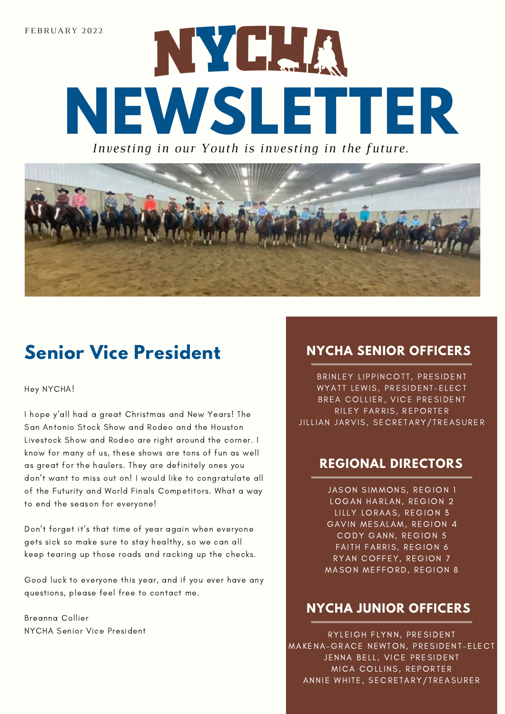

*Inv esting in our Y outh i s inve sting in th e fut*



#### **Senior Vice President NYCHA SENIOR OFFICERS**

Hey NYCHA!

I hope y'all had a great Christmas and New Years! The San Antonio Stock Show and Rodeo and the Houston Livestock Show and Rodeo are right around the corner. I know for many of us, these shows are tons of fun as well as great for the haulers. They are definitely ones you don't want to miss out on! I would like to congratulate all of the Futurity and World Finals Competitors. What a way to end the season for everyone!

Don't forget it's that time of year again when everyone gets sick so make sure to stay healthy, so we can all keep tearing up those roads and racking up the checks.

Good luck to everyone this year, and if you ever have any questions, please feel free to contact me.

Breanna Collier NYCHA Senior Vice President

BRINLEY LIPPINCOTT, PRESIDENT WYATT LEWIS, PRESIDENT-ELECT BREA COLLIER, VICE PRESIDENT RILEY FARRIS, REPORTER JILLIAN JARVIS, SECRETARY/TREASURER

#### **REGIONAL DIRECTORS**

JASON SIMMONS, REGION 1 LOGAN HARLAN, REGION 2 LILLY LORAAS, REGION 3 GAVIN MESALAM, REGION 4 CODY GANN, REGION 5 FAITH FARRIS, REGION 6 RYAN COFFEY, REGION 7 MASON MEFFORD, REGION 8

#### **NYCHA JUNIOR OFFICERS**

RYLEIGH FLYNN, PRESIDENT MAKENA-GRACE NEWTON, PRESIDENT-ELECT JENNA BELL, VICE PRESIDENT MICA COLLINS, REPORTER ANNIE WHITE, SECRETARY/TREASURER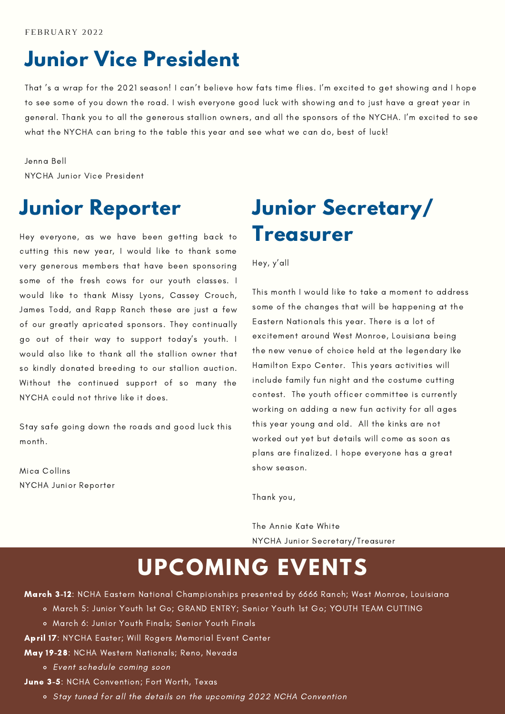# **Junior Vice President**

That 's a wrap for the 2021 season! I can't believe how fats time flies. I'm excited to get showing and I hope to see some of you down the road. I wish everyone good luck with showing and to just have a great year in general. Thank you to all the generous stallion owners, and all the sponsors of the NYCHA. I'm excited to see what the NYCHA can bring to the table this year and see what we can do, best of luck!

Jenna Bell NYCHA Junior Vice President

#### **Junior Reporter**

Hey everyone, as we have been getting back to cutting this new year, I would like to thank some very generous members that have been sponsoring some of the fresh cows for our youth classes. I would like to thank Missy Lyons, Cassey Crouch, James Todd, and Rapp Ranch these are just a few of our greatly apricated sponsors. They continually go out of their way to support today's youth. I would also like to thank all the stallion owner that so kindly donated breeding to our stallion auction. Without the continued support of so many the NYCHA could not thrive like it does.

Stay safe going down the roads and good luck this month.

Mica Collins NYCHA Junior Reporter

### **Junior Secretary/ Treasurer**

Hey, y'all

This month I would like to take a moment to address some of the changes that will be happening at the Eastern Nationals this year. There is a lot of excitement around West Monroe, Louisiana being the new venue of choice held at the legendary Ike Hamilton Expo Center. This years activities will include family fun night and the costume cutting contest. The youth officer committee is currently working on adding a new fun activity for all ages this year young and old. All the kinks are not worked out yet but details will come as soon as plans are finalized. I hope everyone has a great show season.

Thank you,

The Annie Kate White NYCHA Junior Secretary/Treasurer

### **UPCOMING EVENTS**

March 3-12: NCHA Eastern National Championships presented by 6666 Ranch; West Monroe, Louisiana

- March 5: Junior Youth 1st Go; GRAND ENTRY; Senior Youth 1st Go; YOUTH TEAM CUTTING
- March 6: Junior Youth Finals; Senior Youth Finals

April 17: NYCHA Easter; Will Rogers Memorial Event Center

#### May 19-28: NCHA Western Nationals; Reno, Nevada

Event schedule coming soon

June 3-5: NCHA Convention; Fort Worth, Texas

Stay tuned for all the details on the upcoming 2022 NCHA Convention